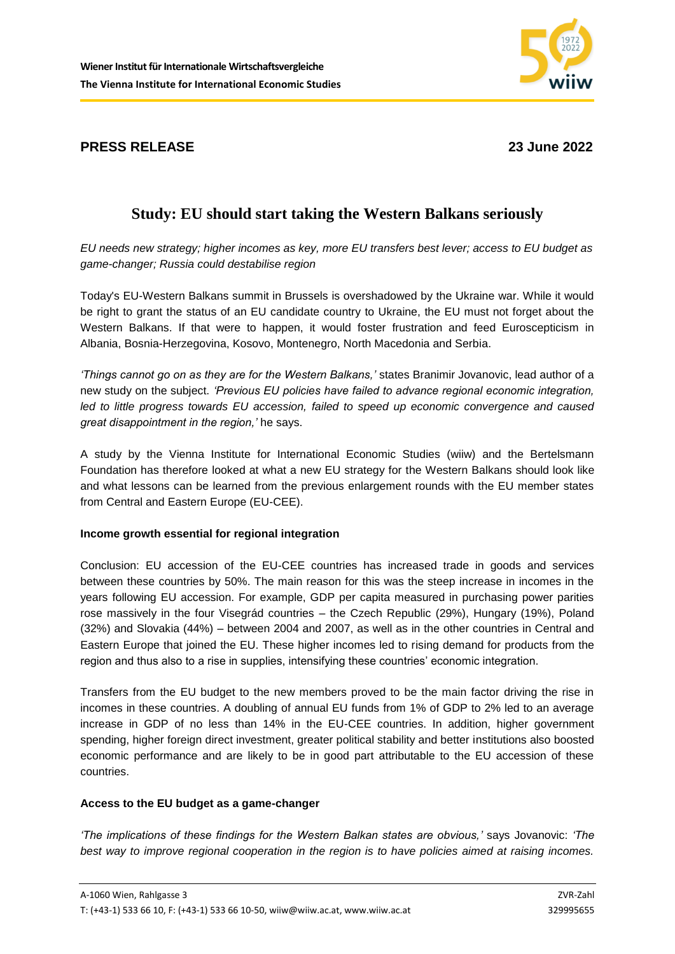## **PRESS RELEASE 23 June 2022**

# **Study: EU should start taking the Western Balkans seriously**

*EU needs new strategy; higher incomes as key, more EU transfers best lever; access to EU budget as game-changer; Russia could destabilise region*

Today's EU-Western Balkans summit in Brussels is overshadowed by the Ukraine war. While it would be right to grant the status of an EU candidate country to Ukraine, the EU must not forget about the Western Balkans. If that were to happen, it would foster frustration and feed Euroscepticism in Albania, Bosnia-Herzegovina, Kosovo, Montenegro, North Macedonia and Serbia.

*'Things cannot go on as they are for the Western Balkans,'* states Branimir Jovanovic, lead author of a new study on the subject. *'Previous EU policies have failed to advance regional economic integration, led to little progress towards EU accession, failed to speed up economic convergence and caused great disappointment in the region,'* he says.

A study by the Vienna Institute for International Economic Studies (wiiw) and the Bertelsmann Foundation has therefore looked at what a new EU strategy for the Western Balkans should look like and what lessons can be learned from the previous enlargement rounds with the EU member states from Central and Eastern Europe (EU-CEE).

### **Income growth essential for regional integration**

Conclusion: EU accession of the EU-CEE countries has increased trade in goods and services between these countries by 50%. The main reason for this was the steep increase in incomes in the years following EU accession. For example, GDP per capita measured in purchasing power parities rose massively in the four Visegrád countries – the Czech Republic (29%), Hungary (19%), Poland (32%) and Slovakia (44%) – between 2004 and 2007, as well as in the other countries in Central and Eastern Europe that joined the EU. These higher incomes led to rising demand for products from the region and thus also to a rise in supplies, intensifying these countries' economic integration.

Transfers from the EU budget to the new members proved to be the main factor driving the rise in incomes in these countries. A doubling of annual EU funds from 1% of GDP to 2% led to an average increase in GDP of no less than 14% in the EU-CEE countries. In addition, higher government spending, higher foreign direct investment, greater political stability and better institutions also boosted economic performance and are likely to be in good part attributable to the EU accession of these countries.

### **Access to the EU budget as a game-changer**

*'The implications of these findings for the Western Balkan states are obvious,'* says Jovanovic: *'The best way to improve regional cooperation in the region is to have policies aimed at raising incomes.*